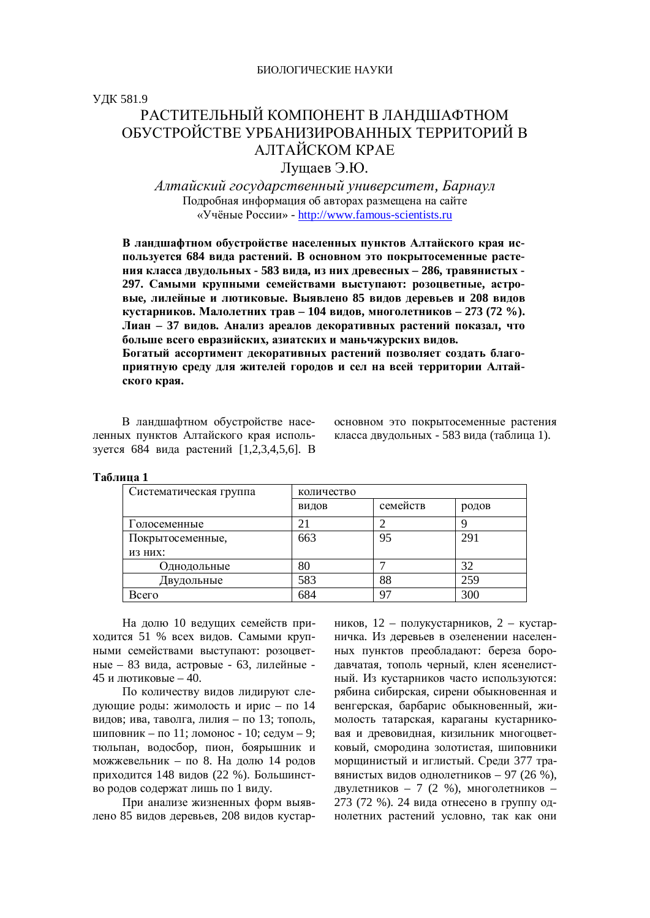ɍȾɄ 581.9

## РАСТИТЕЛЬНЫЙ КОМПОНЕНТ В ЛАНЛШАФТНОМ ОБУСТРОЙСТВЕ УРБАНИЗИРОВАННЫХ ТЕРРИТОРИЙ В АЛТАЙСКОМ КРАЕ

Лущаев Э.Ю.

 $A$ лтайский государственный университет, Барнаул Подробная информация об авторах размещена на сайте «Учёные России» - http://www.famous-scientists.ru

В ландшафтном обустройстве населенных пунктов Алтайского края используется 684 вида растений. В основном это покрытосеменные расте-НИЯ КЛАССА ДВУДОЛЬНЫХ - 583 ВИДА, ИЗ НИХ ДРЕВЕСНЫХ - 286, ТРАВЯНИСТЫХ -**297. Самыми крупными семействами выступают: розопветные, астровые, лилейные и лютиковые. Выявлено 85 видов деревьев и 208 видов ɤɭɫɬɚɪɧɢɤɨɜ. Ɇɚɥɨɥɟɬɧɢɯɬɪɚɜ – 104 ɜɢɞɨɜ, ɦɧɨɝɨɥɟɬɧɢɤɨɜ – 273 (72 %). Лиан – 37 видов. Анализ ареалов декоративных растений показал, что** больше всего евразийских, азиатских и маньчжурских видов. Богатый ассортимент декоративных растений позволяет создать благоприятную среду для жителей городов и сел на всей территории Алтай**ского края.** 

В ландшафтном обустройстве населенных пунктов Алтайского края используется 684 вида растений [1,2,3,4,5,6]. В основном это покрытосеменные растения класса двудольных - 583 вида (таблица 1).

| Систематическая группа | количество |          |       |
|------------------------|------------|----------|-------|
|                        | ВИДОВ      | семейств | родов |
| Голосеменные           | 21         |          |       |
| Покрытосеменные,       | 663        | 95       | 291   |
| ИЗ НИХ:                |            |          |       |
| Однодольные            | 80         |          | 32    |
| Двудольные             | 583        | 88       | 259   |
| Bcero                  | 684        | 97       | 300   |

**Таблина** 1

На долю 10 ведущих семейств приходится 51 % всех видов. Самыми крупными семействами выступают: розоцветные – 83 вила, астровые - 63, лилейные -45 и лютиковые – 40.

По количеству видов лидируют следующие роды: жимолость и ирис – по 14 видов; ива, таволга, лилия – по 13; тополь, шиповник – по 11; ломонос - 10; седум – 9; тюльпан, водосбор, пион, боярышник и можжевельник – по 8. На долю 14 родов приходится 148 видов (22 %). Большинство родов содержат лишь по 1 виду.

При анализе жизненных форм выявлено 85 видов деревьев, 208 видов кустар-

ников,  $12$  – полукустарников,  $2$  – кустарничка. Из деревьев в озеленении населенных пунктов преобладают: береза бородавчатая, тополь черный, клен ясенелистный. Из кустарников часто используются: рябина сибирская, сирени обыкновенная и венгерская, барбарис обыкновенный, жимолость татарская, караганы кустарниковая и древовидная, кизильник многоцветковый, сморолина золотистая, шиповники морщинистый и иглистый. Среди 377 травянистых видов однолетников – 97 (26 %). двулетников – 7 (2 %), многолетников – 273 (72 %). 24 вила отнесено в группу однолетних растений условно, так как они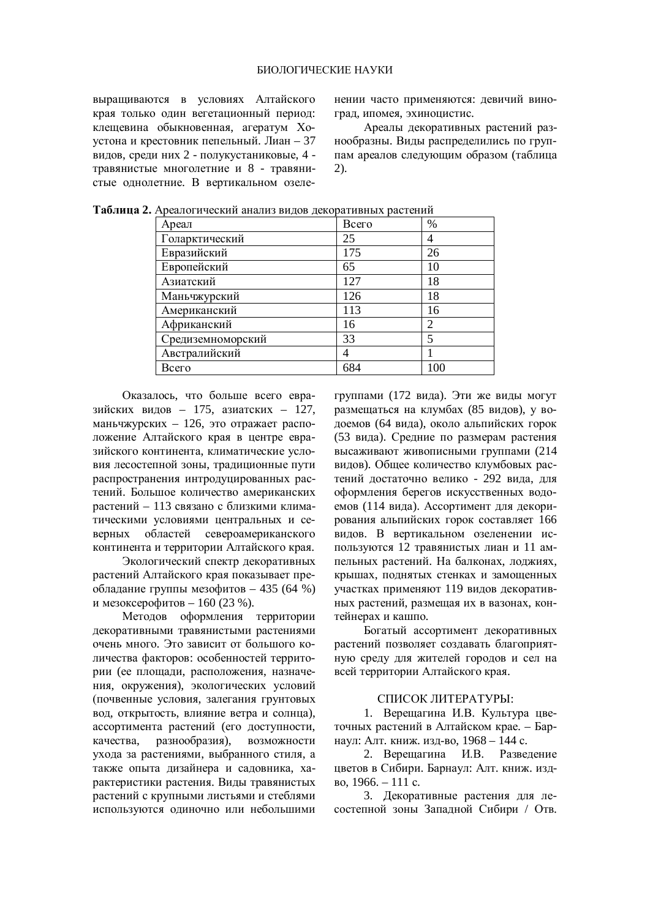выращиваются в условиях Алтайского края только один вегетационный период: клешевина обыкновенная, агератум Хоустона и крестовник пепельный. Лиан – 37 видов, среди них 2 - полукустаниковые, 4 травянистые многолетние и 8 - травянистые однолетние. В вертикальном озеленении часто применяются: девичий виноград, ипомея, эхиноцистис.

Ареалы декоративных растений разнообразны. Виды распределились по группам ареалов следующим образом (таблица 2).

| Ареал             | Bcero | %              |
|-------------------|-------|----------------|
| Голарктический    | 25    | 4              |
| Евразийский       | 175   | 26             |
| Европейский       | 65    | 10             |
| Азиатский         | 127   | 18             |
| Маньчжурский      | 126   | 18             |
| Американский      | 113   | 16             |
| Африканский       | 16    | $\overline{c}$ |
| Средиземноморский | 33    | 5              |
| Австралийский     | 4     |                |
| Всего             | 684   | 100            |

Таблица 2. Ареалогический анализ видов декоративных растений

Оказалось, что больше всего евразийских видов – 175, азиатских – 127, маньчжурских – 126, это отражает расположение Алтайского края в центре евразийского континента, климатические условия лесостепной зоны, традиционные пути распространения интродуцированных растений. Большое количество американских растений – 113 связано с близкими климатическими условиями центральных и северных областей североамериканского континента и территории Алтайского края.

Экологический спектр декоративных растений Алтайского края показывает преобладание группы мезофитов – 435 (64 %) и мезоксерофитов – 160 (23 %).

Методов оформления территории декоративными травянистыми растениями очень много. Это зависит от большого количества факторов: особенностей территории (ее площади, расположения, назначения, окружения), экологических условий (почвенные условия, залегания грунтовых вод, открытость, влияние ветра и солнца), ассортимента растений (его доступности, качества, разнообразия), возможности ухода за растениями, выбранного стиля, а также опыта дизайнера и садовника, характеристики растения. Вилы травянистых растений с крупными листьями и стеблями используются одиночно или небольшими группами (172 вида). Эти же виды могут размещаться на клумбах (85 видов), у водоемов (64 вида), около альпийских горок (53 вила). Средние по размерам растения высаживают живописными группами (214 видов). Общее количество клумбовых растений достаточно велико - 292 вида, для оформления берегов искусственных водоемов (114 вида). Ассортимент для декорирования альпийских горок составляет 166 видов. В вертикальном озеленении используются 12 травянистых лиан и 11 ампельных растений. На балконах, лоджиях, крышах, поднятых стенках и замощенных участках применяют 119 видов декоративных растений, размещая их в вазонах, контейнерах и кашпо.

Богатый ассортимент декоративных растений позволяет создавать благоприятную среду для жителей городов и сел на всей территории Алтайского края.

## СПИСОК ЛИТЕРАТУРЫ:

1. Верещагина И.В. Культура цветочных растений в Алтайском крае. – Барнаул: Алт. книж. изд-во, 1968 - 144 с.

2. Верещагина И.В. Разведение цветов в Сибири. Барнаул: Алт. книж. изд- $B_0$ , 1966. – 111 c.

3. Лекоративные растения для лесостепной зоны Западной Сибири / Отв.